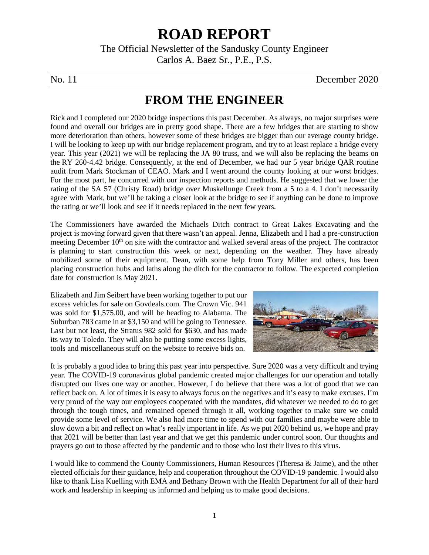# **ROAD REPORT**

The Official Newsletter of the Sandusky County Engineer Carlos A. Baez Sr., P.E., P.S.

No. 11 December 2020

## **FROM THE ENGINEER**

Rick and I completed our 2020 bridge inspections this past December. As always, no major surprises were found and overall our bridges are in pretty good shape. There are a few bridges that are starting to show more deterioration than others, however some of these bridges are bigger than our average county bridge. I will be looking to keep up with our bridge replacement program, and try to at least replace a bridge every year. This year (2021) we will be replacing the JA 80 truss, and we will also be replacing the beams on the RY 260-4.42 bridge. Consequently, at the end of December, we had our 5 year bridge QAR routine audit from Mark Stockman of CEAO. Mark and I went around the county looking at our worst bridges. For the most part, he concurred with our inspection reports and methods. He suggested that we lower the rating of the SA 57 (Christy Road) bridge over Muskellunge Creek from a 5 to a 4. I don't necessarily agree with Mark, but we'll be taking a closer look at the bridge to see if anything can be done to improve the rating or we'll look and see if it needs replaced in the next few years.

The Commissioners have awarded the Michaels Ditch contract to Great Lakes Excavating and the project is moving forward given that there wasn't an appeal. Jenna, Elizabeth and I had a pre-construction meeting December  $10<sup>th</sup>$  on site with the contractor and walked several areas of the project. The contractor is planning to start construction this week or next, depending on the weather. They have already mobilized some of their equipment. Dean, with some help from Tony Miller and others, has been placing construction hubs and laths along the ditch for the contractor to follow. The expected completion date for construction is May 2021.

Elizabeth and Jim Seibert have been working together to put our excess vehicles for sale on Govdeals.com. The Crown Vic. 941 was sold for \$1,575.00, and will be heading to Alabama. The Suburban 783 came in at \$3,150 and will be going to Tennessee. Last but not least, the Stratus 982 sold for \$630, and has made its way to Toledo. They will also be putting some excess lights, tools and miscellaneous stuff on the website to receive bids on.



It is probably a good idea to bring this past year into perspective. Sure 2020 was a very difficult and trying year. The COVID-19 coronavirus global pandemic created major challenges for our operation and totally disrupted our lives one way or another. However, I do believe that there was a lot of good that we can reflect back on. A lot of times it is easy to always focus on the negatives and it's easy to make excuses. I'm very proud of the way our employees cooperated with the mandates, did whatever we needed to do to get through the tough times, and remained opened through it all, working together to make sure we could provide some level of service. We also had more time to spend with our families and maybe were able to slow down a bit and reflect on what's really important in life. As we put 2020 behind us, we hope and pray that 2021 will be better than last year and that we get this pandemic under control soon. Our thoughts and prayers go out to those affected by the pandemic and to those who lost their lives to this virus.

I would like to commend the County Commissioners, Human Resources (Theresa & Jaime), and the other elected officials for their guidance, help and cooperation throughout the COVID-19 pandemic. I would also like to thank Lisa Kuelling with EMA and Bethany Brown with the Health Department for all of their hard work and leadership in keeping us informed and helping us to make good decisions.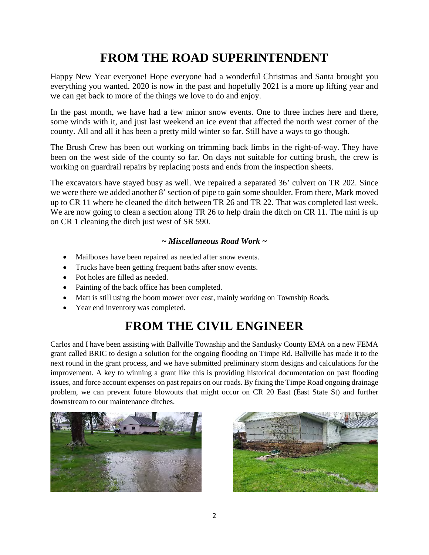# **FROM THE ROAD SUPERINTENDENT**

Happy New Year everyone! Hope everyone had a wonderful Christmas and Santa brought you everything you wanted. 2020 is now in the past and hopefully 2021 is a more up lifting year and we can get back to more of the things we love to do and enjoy.

In the past month, we have had a few minor snow events. One to three inches here and there, some winds with it, and just last weekend an ice event that affected the north west corner of the county. All and all it has been a pretty mild winter so far. Still have a ways to go though.

The Brush Crew has been out working on trimming back limbs in the right-of-way. They have been on the west side of the county so far. On days not suitable for cutting brush, the crew is working on guardrail repairs by replacing posts and ends from the inspection sheets.

The excavators have stayed busy as well. We repaired a separated 36' culvert on TR 202. Since we were there we added another 8' section of pipe to gain some shoulder. From there, Mark moved up to CR 11 where he cleaned the ditch between TR 26 and TR 22. That was completed last week. We are now going to clean a section along TR 26 to help drain the ditch on CR 11. The mini is up on CR 1 cleaning the ditch just west of SR 590.

#### *~ Miscellaneous Road Work ~*

- Mailboxes have been repaired as needed after snow events.
- Trucks have been getting frequent baths after snow events.
- Pot holes are filled as needed.
- Painting of the back office has been completed.
- Matt is still using the boom mower over east, mainly working on Township Roads.
- Year end inventory was completed.

# **FROM THE CIVIL ENGINEER**

Carlos and I have been assisting with Ballville Township and the Sandusky County EMA on a new FEMA grant called BRIC to design a solution for the ongoing flooding on Timpe Rd. Ballville has made it to the next round in the grant process, and we have submitted preliminary storm designs and calculations for the improvement. A key to winning a grant like this is providing historical documentation on past flooding issues, and force account expenses on past repairs on our roads. By fixing the Timpe Road ongoing drainage problem, we can prevent future blowouts that might occur on CR 20 East (East State St) and further downstream to our maintenance ditches.



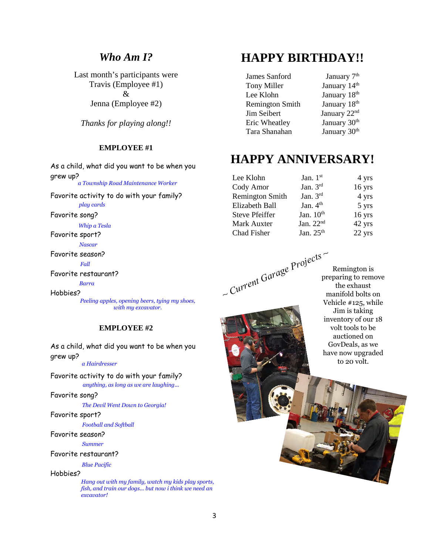#### *Who Am I?*

Last month's participants were Travis (Employee #1)  $\mathcal{R}$ Jenna (Employee #2)

*Thanks for playing along!!*

#### **EMPLOYEE #1**

As a child, what did you want to be when you grew up? Favorite activity to do with your family? *a Township Road Maintenance Worker play cards*

Favorite song?

*Whip a Tesla*

Favorite sport?

#### *Nascar*

Favorite season?

#### *Fall*

Favorite restaurant?

*Barra*

#### Hobbies?

*Peeling apples, opening beers, tying my shoes, with my excavator.*

#### **EMPLOYEE #2**

As a child, what did you want to be when you grew up?

*a Hairdresser*

Favorite activity to do with your family? *anything, as long as we are laughing...*

#### Favorite song?

*The Devil Went Down to Georgia!*

#### Favorite sport?

*Football and Softball*

#### Favorite season?

*Summer*

#### Favorite restaurant?

*Blue Pacific*

#### Hobbies?

*Hang out with my family, watch my kids play sports, fish, and train our dogs... but now i think we need an excavator!*

## **HAPPY BIRTHDAY!!**

James Sanford January 7<sup>th</sup> Tony Miller **January** 14<sup>th</sup> Lee Klohn January 18<sup>th</sup> Remington Smith January 18<sup>th</sup> Jim Seibert January 22<sup>nd</sup> Eric Wheatley January 30<sup>th</sup> Tara Shanahan January 30<sup>th</sup>

### **HAPPY ANNIVERSARY!**

| Lee Klohn              | Jan. $1st$  | 4 yrs    |
|------------------------|-------------|----------|
| Cody Amor              | Jan. $3rd$  | $16$ yrs |
| <b>Remington Smith</b> | Jan. $3rd$  | 4 yrs    |
| Elizabeth Ball         | Jan. $4th$  | 5 yrs    |
| <b>Steve Pfeiffer</b>  | Jan. $10th$ | $16$ yrs |
| Mark Auxter            | Jan. $22nd$ | 42 yrs   |
| Chad Fisher            | Jan. $25th$ | 22 yrs   |

*~ Current Garage Projects ~*

Remington is preparing to remove the exhaust manifold bolts on Vehicle #125, while Jim is taking inventory of our 18 volt tools to be auctioned on GovDeals, as we have now upgraded to 20 volt.

3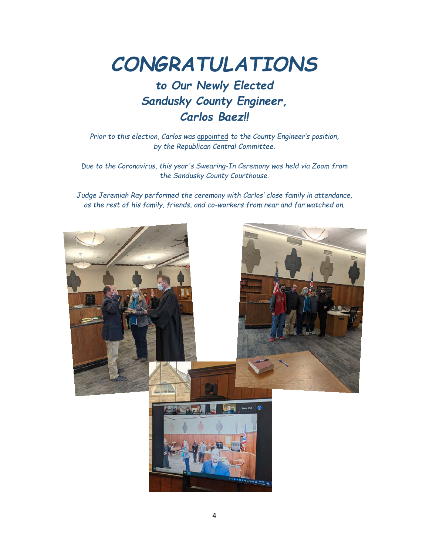# *CONGRATULATIONS*

# *to Our Newly Elected Sandusky County Engineer, Carlos Baez!!*

*Prior to this election, Carlos was* appointed *to the County Engineer's position, by the Republican Central Committee.* 

*Due to the Coronavirus, this year's Swearing-In Ceremony was held via Zoom from the Sandusky County Courthouse.* 

*Judge Jeremiah Ray performed the ceremony with Carlos' close family in attendance, as the rest of his family, friends, and co-workers from near and far watched on.*